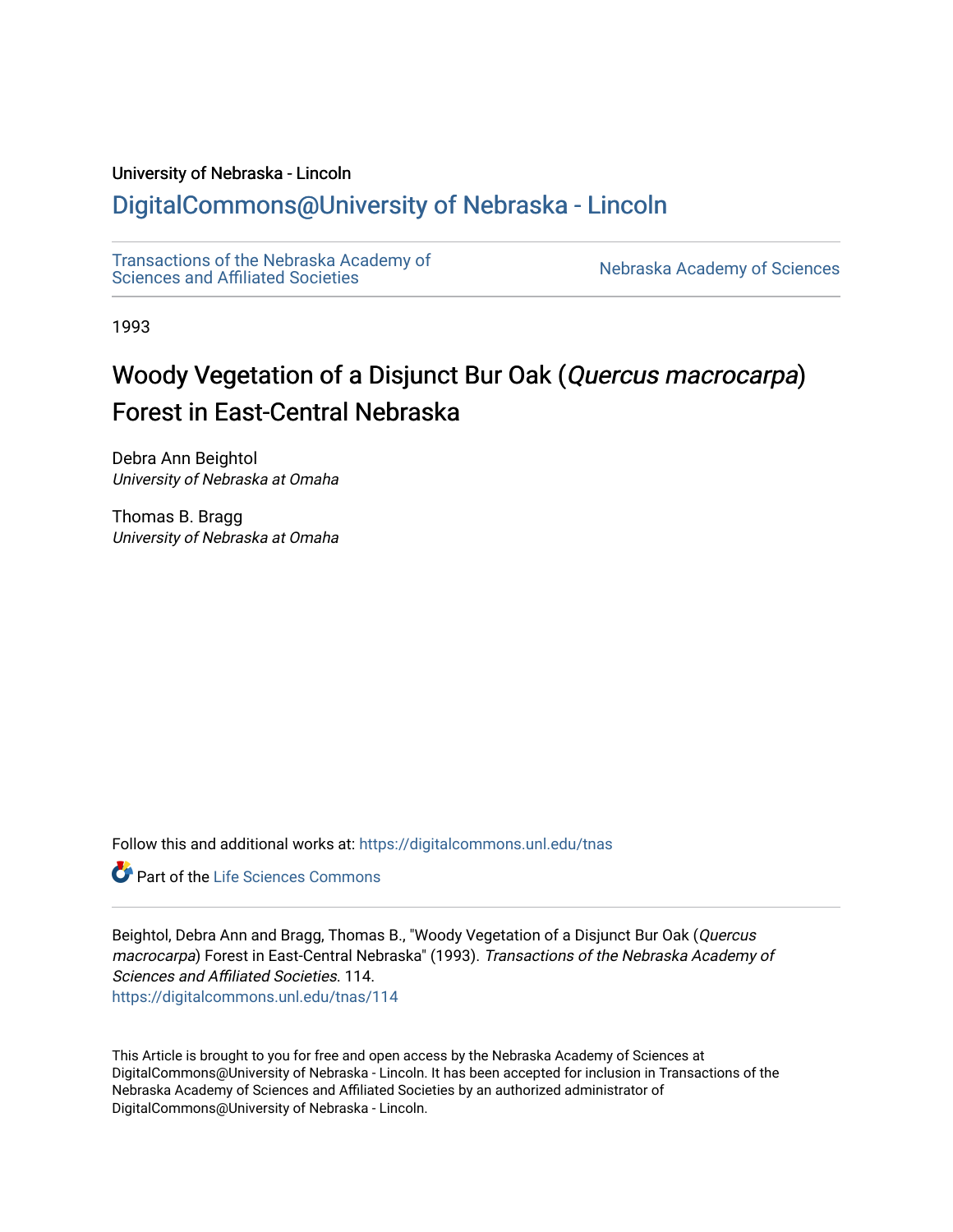## University of Nebraska - Lincoln

## [DigitalCommons@University of Nebraska - Lincoln](https://digitalcommons.unl.edu/)

[Transactions of the Nebraska Academy of](https://digitalcommons.unl.edu/tnas)  Transactions of the Nebraska Academy of Sciences<br>Sciences and Affiliated Societies

1993

# Woody Vegetation of a Disjunct Bur Oak (Quercus macrocarpa) Forest in East-Central Nebraska

Debra Ann Beightol University of Nebraska at Omaha

Thomas B. Bragg University of Nebraska at Omaha

Follow this and additional works at: [https://digitalcommons.unl.edu/tnas](https://digitalcommons.unl.edu/tnas?utm_source=digitalcommons.unl.edu%2Ftnas%2F114&utm_medium=PDF&utm_campaign=PDFCoverPages) 

**Part of the Life Sciences Commons** 

Beightol, Debra Ann and Bragg, Thomas B., "Woody Vegetation of a Disjunct Bur Oak (Quercus macrocarpa) Forest in East-Central Nebraska" (1993). Transactions of the Nebraska Academy of Sciences and Affiliated Societies. 114. [https://digitalcommons.unl.edu/tnas/114](https://digitalcommons.unl.edu/tnas/114?utm_source=digitalcommons.unl.edu%2Ftnas%2F114&utm_medium=PDF&utm_campaign=PDFCoverPages) 

This Article is brought to you for free and open access by the Nebraska Academy of Sciences at DigitalCommons@University of Nebraska - Lincoln. It has been accepted for inclusion in Transactions of the Nebraska Academy of Sciences and Affiliated Societies by an authorized administrator of DigitalCommons@University of Nebraska - Lincoln.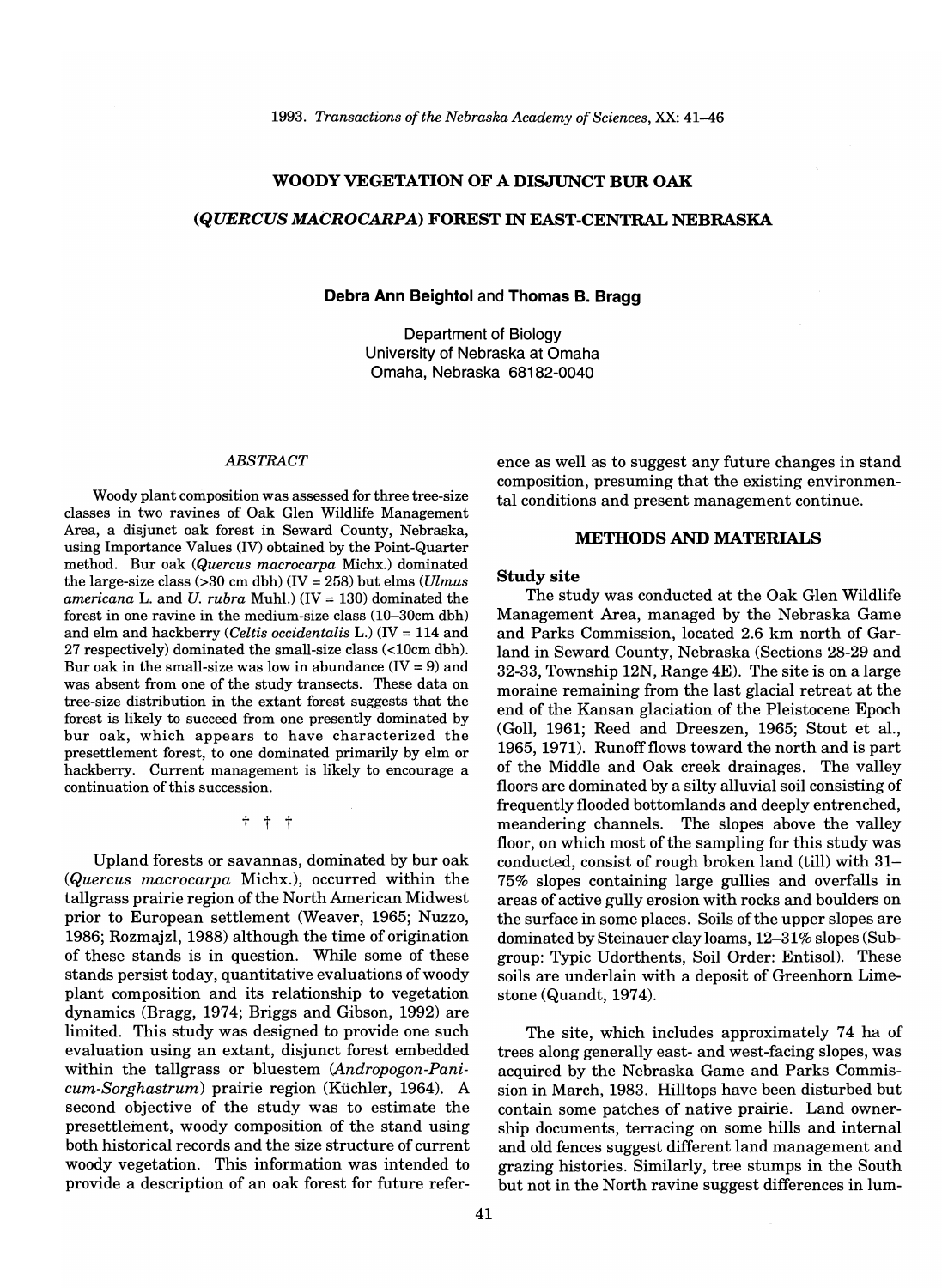#### **WOODY VEGETATION OF A DISJUNCT BUR OAK**

#### *(QUERCUS MACROCARPA)* **FOREST IN EAST-CENTRAL NEBRASKA**

## **Debra Ann Beightol** and **Thomas B. Bragg**

Department of Biology University of Nebraska at Omaha Omaha, Nebraska 68182-0040

#### *ABSTRACT*

Woody plant composition was assessed for three tree-size classes in two ravines of Oak Glen Wildlife Management Area, a disjunct oak forest in Seward County, Nebraska, using Importance Values (IV) obtained by the Point-Quarter method. Bur oak *(Quercus macrocarpa* Michx.) dominated the large-size class (>30 cm dbh) (IV = 258) but elms *(Ulmus americana* L. and *U. rubra* Muhl.) (IV = 130) dominated the forest in one ravine in the medium-size class (10-30cm dbh) and elm and hackberry *(Celtis occidentalis* L.) (IV = 114 and 27 respectively) dominated the small-size class (<IOcm dbh). Bur oak in the small-size was low in abundance  $(IV = 9)$  and was absent from one of the study transects. These data on tree-size distribution in the extant forest suggests that the forest is likely to succeed from one presently dominated by bur oak, which appears to have characterized the presettlement forest, to one dominated primarily by elm or hackberry. Current management is likely to encourage a continuation of this succession.

#### t t t

Upland forests or savannas, dominated by bur oak *(Quercus macrocarpa* Michx.), occurred within the tallgrass prairie region of the North American Midwest prior to European settlement (Weaver, 1965; Nuzzo, 1986; Rozmajzl, 1988) although the time of origination of these stands is in question. While some of these stands persist today, quantitative evaluations of woody plant composition and its relationship to vegetation dynamics (Bragg, 1974; Briggs and Gibson, 1992) are limited. This study was designed to provide one such evaluation using an extant, disjunct forest embedded within the tallgrass or bluestem *(Andropogon-Panicum-Sorghastrum)* prairie region (Kuchler, 1964). A second objective of the study was to estimate the presettlement, woody composition of the stand using both historical records and the size structure of current woody vegetation. This information was intended to provide a description of an oak forest for future reference as well as to suggest any future changes in stand composition, presuming that the existing environmental conditions and present management continue.

## **METHODS AND MATERIALS**

#### **Study site**

The study was conducted at the Oak Glen Wildlife Management Area, managed by the Nebraska Game and Parks Commission, located 2.6 km north of Garland in Seward County, Nebraska (Sections 28-29 and 32-33, Township 12N, Range 4E). The site is on a large moraine remaining from the last glacial retreat at the end of the Kansan glaciation of the Pleistocene Epoch (Goll, 1961; Reed and Dreeszen, 1965; Stout et aI., 1965,1971). Runoffflows toward the north and is part of the Middle and Oak creek drainages. The valley floors are dominated by a silty alluvial soil consisting of frequently flooded bottomlands and deeply entrenched, meandering channels. The slopes above the valley floor, on which most of the sampling for this study was conducted, consist of rough broken land (till) with 31- 75% slopes containing large gullies and overfalls in areas of active gully erosion with rocks and boulders on the surface in some places. Soils of the upper slopes are dominated by Steinauer clay loams, 12-31% slopes (Subgroup: Typic Udorthents, Soil Order: Entisol). These soils are underlain with a deposit of Greenhorn Limestone (Quandt, 1974).

The site, which includes approximately 74 ha of trees along generally east- and west-facing slopes, was acquired by the Nebraska Game and Parks Commission in March, 1983. Hilltops have been disturbed but contain some patches of native prairie. Land ownership documents, terracing on some hills and internal and old fences suggest different land management and grazing histories. Similarly, tree stumps in the South but not in the North ravine suggest differences in lum-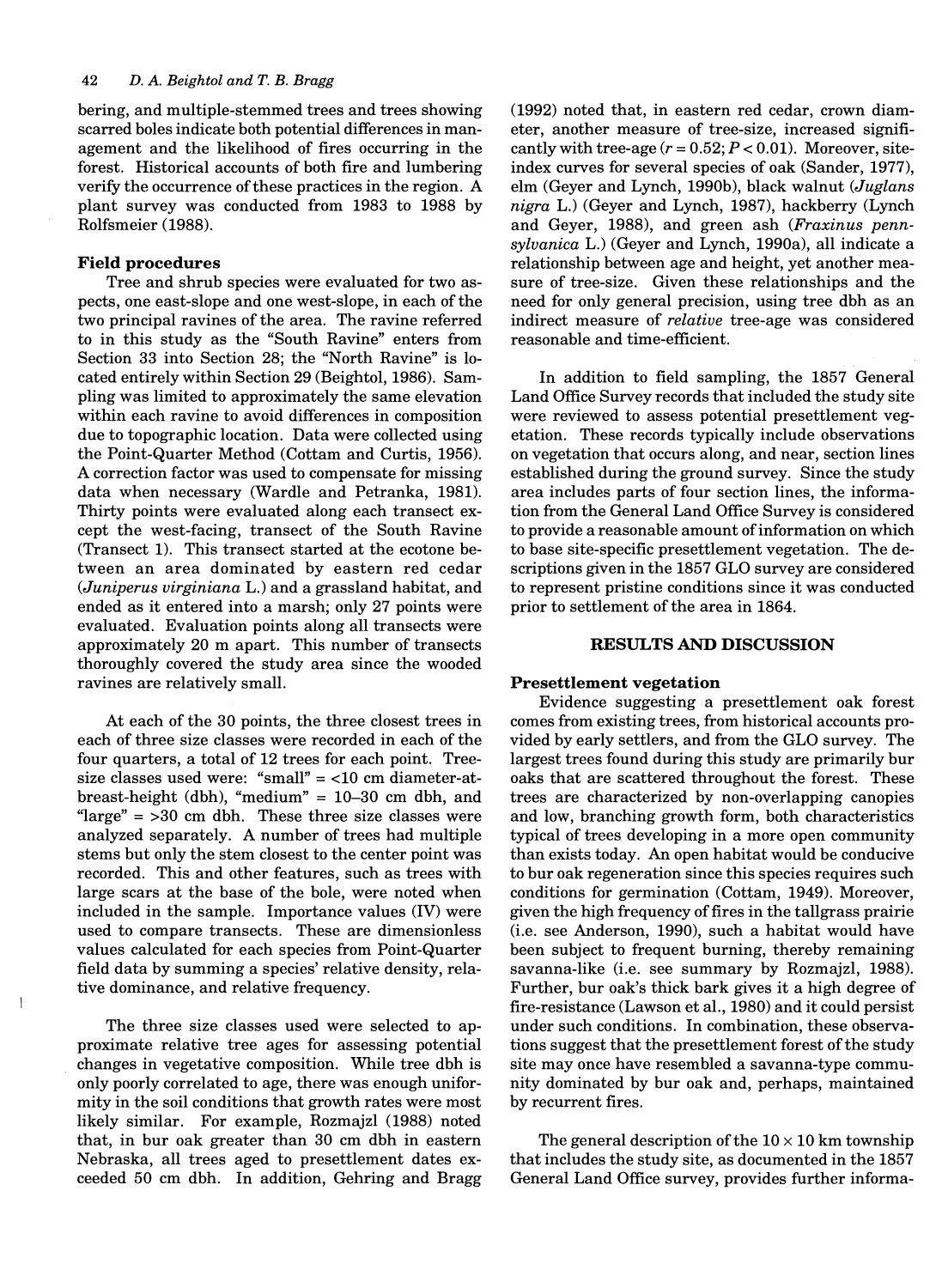bering, and multiple-stemmed trees and trees showing scarred boles indicate both potential differences in management and the likelihood of fires occurring in the forest. Historical accounts of both fire and lumbering verify the occurrence of these practices in the region. A plant survey was conducted from 1983 to 1988 by Rolfsmeier (1988).

## **Field procedures**

 $\overline{\phantom{a}}$ 

Tree and shrub species were evaluated for two aspects, one east-slope and one west-slope, in each of the two principal ravines of the area. The ravine referred to in this study as the "South Ravine" enters from Section 33 into Section 28; the "North Ravine" is located entirely within Section 29 (Beightol, 1986). Sampling was limited to approximately the same elevation within each ravine to avoid differences in composition due to topographic location. Data were collected using the Point-Quarter Method (Cottam and Curtis, 1956). A correction factor was used to compensate for missing data when necessary (Wardle and Petranka, 1981). Thirty points were evaluated along each transect except the west-facing, transect of the South Ravine (Transect 1). This transect started at the ecotone between an area dominated by eastern red cedar *(Juniperus virginiana* L.) and a grassland habitat, and ended as it entered into a marsh; only 27 points were evaluated. Evaluation points along all transects were approximately 20 m apart. This number of transects thoroughly covered the study area since the wooded ravines are relatively small.

At each of the 30 points, the three closest trees in each of three size classes were recorded in each of the four quarters, a total of 12 trees for each point. Treesize classes used were: "small"  $=$  <10 cm diameter-atbreast-height (dbh), "medium" =  $10-30$  cm dbh, and "large"  $=$  >30 cm dbh. These three size classes were analyzed separately. A number of trees had multiple stems but only the stem closest to the center point was recorded. This and other features, such as trees with large scars at the base of the bole, were noted when included in the sample. Importance values (IV) were used to compare transects. These are dimensionless values calculated for each species from Point-Quarter field data by summing a species' relative density, relative dominance, and relative frequency.

The three size classes used were selected to approximate relative tree ages for assessing potential changes in vegetative composition. While tree dbh is only poorly correlated to age, there was enough uniformity in the soil conditions that growth rates were most likely similar. For example, Rozmajzl (1988) noted that, in bur oak greater than 30 cm dbh in eastern Nebraska, all trees aged to presettlement dates exceeded 50 cm dbh. In addition, Gehring and Bragg

(1992) noted that, in eastern red cedar, crown diameter, another measure of tree-size, increased significantly with tree-age  $(r = 0.52; P < 0.01)$ . Moreover, siteindex curves for several species of oak (Sander, 1977), elm (Geyer and Lynch, 1990b), black walnut *(Juglans nigra* L.) (Geyer and Lynch, 1987), hackberry (Lynch and Geyer, 1988), and green ash *(Fraxinus pennsylvanica* L.) (Geyer and Lynch, 1990a), all indicate a relationship between age and height, yet another measure of tree-size. Given these relationships and the need for only general precision, using tree dbh as an indirect measure of *relative* tree-age was considered reasonable and time-efficient.

In addition to field sampling, the 1857 General Land Office Survey records that included the study site were reviewed to assess potential presettlement vegetation. These records typically include observations on vegetation that occurs along, and near, section lines established during the ground survey. Since the study area includes parts of four section lines, the information from the General Land Office Survey is considered to provide a reasonable amount of information on which to base site-specific presettlement vegetation. The descriptions given in the 1857 GLO survey are considered to represent pristine conditions since it was conducted prior to settlement of the area in 1864.

#### **RESULTS AND DISCUSSION**

#### **Presettlement vegetation**

Evidence suggesting a presettlement oak forest comes from existing trees, from historical accounts provided by early settlers, and from the GLO survey. The largest trees found during this study are primarily bur oaks that are scattered throughout the forest. These trees are characterized by non-overlapping canopies and low, branching growth form, both characteristics typical of trees developing in a more open community than exists today. An open habitat would be conducive to bur oak regeneration since this species requires such conditions for germination (Cottam, 1949). Moreover, given the high frequency of fires in the tallgrass prairie (i.e. see Anderson, 1990), such a habitat would have been subject to frequent burning, thereby remaining savanna-like (i.e. see summary by Rozmajzl, 1988). Further, bur oak's thick bark gives it a high degree of fire-resistance (Lawson et aI., 1980) and it could persist under such conditions. In combination, these observations suggest that the presettlement forest of the study site may once have resembled a savanna-type community dominated by bur oak and, perhaps, maintained by recurrent fires.

The general description of the  $10 \times 10$  km township that includes the study site, as documented in the 1857 General Land Office survey, provides further inform a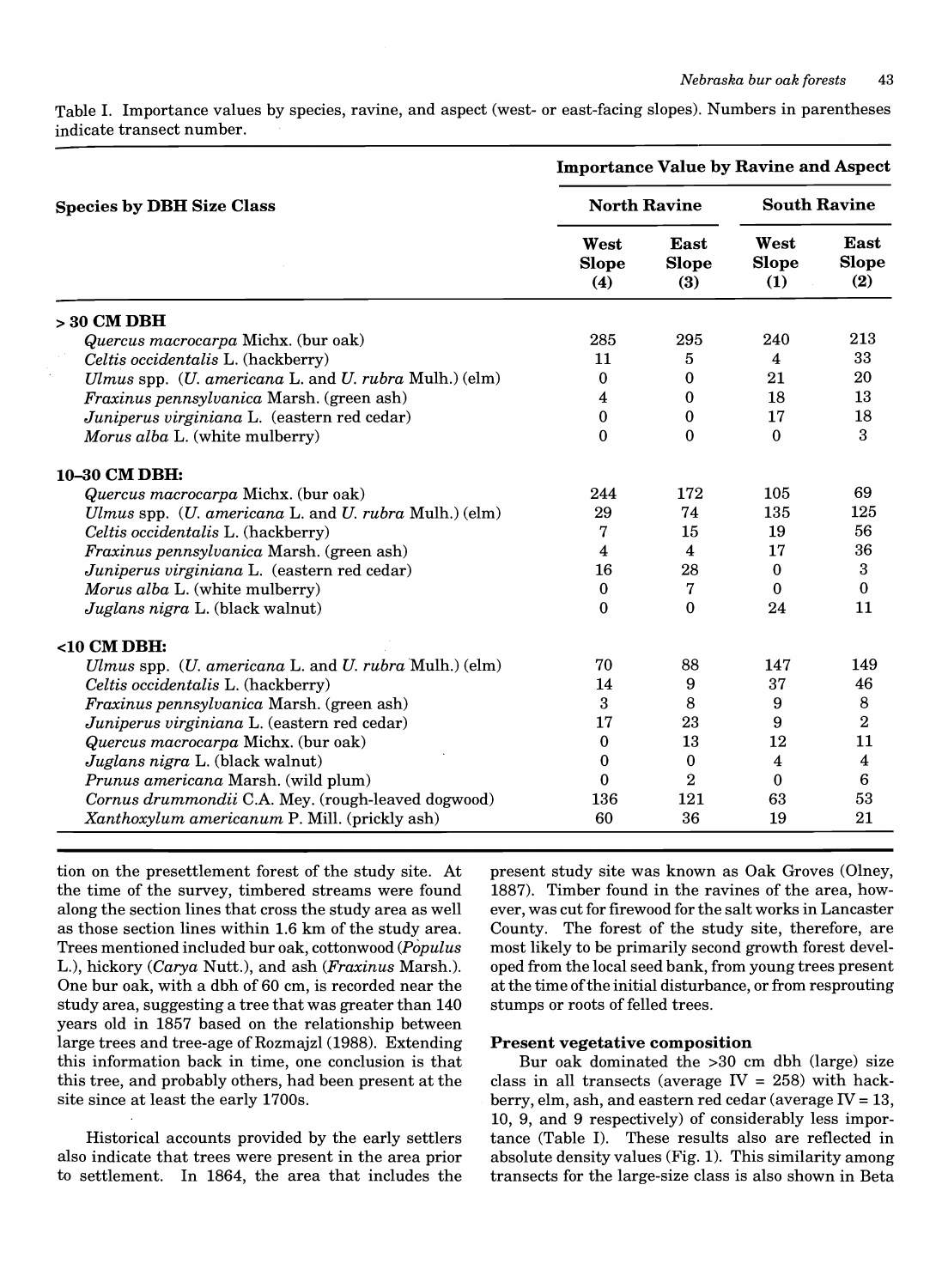Table 1. Importance values by species, ravine, and aspect (west- or east-facing slopes). Numbers in parentheses indicate transect number.

|                                                       | <b>Importance Value by Ravine and Aspect</b> |                                    |                             |                                    |
|-------------------------------------------------------|----------------------------------------------|------------------------------------|-----------------------------|------------------------------------|
| <b>Species by DBH Size Class</b>                      | <b>North Ravine</b>                          |                                    | <b>South Ravine</b>         |                                    |
|                                                       | West<br><b>Slope</b><br>(4)                  | <b>East</b><br><b>Slope</b><br>(3) | West<br><b>Slope</b><br>(1) | <b>East</b><br><b>Slope</b><br>(2) |
| $>30$ CM DBH                                          |                                              |                                    |                             |                                    |
| Quercus macrocarpa Michx. (bur oak)                   | 285                                          | 295                                | 240                         | 213                                |
| Celtis occidentalis L. (hackberry)                    | 11                                           | 5                                  | 4                           | 33                                 |
| Ulmus spp. (U. americana L. and U. rubra Mulh.) (elm) | $\bf{0}$                                     | 0                                  | 21                          | 20                                 |
| Fraxinus pennsylvanica Marsh. (green ash)             | 4                                            | $\bf{0}$                           | 18                          | 13                                 |
| Juniperus virginiana L. (eastern red cedar)           | $\bf{0}$                                     | $\bf{0}$                           | 17                          | 18                                 |
| Morus alba L. (white mulberry)                        | $\Omega$                                     | $\mathbf{0}$                       | $\mathbf{0}$                | 3                                  |
| 10-30 CM DBH:                                         |                                              |                                    |                             |                                    |
| Quercus macrocarpa Michx. (bur oak)                   | 244                                          | 172                                | 105                         | 69                                 |
| Ulmus spp. (U. americana L. and U. rubra Mulh.) (elm) | 29                                           | 74                                 | 135                         | 125                                |
| Celtis occidentalis L. (hackberry)                    | 7                                            | 15                                 | 19                          | 56                                 |
| Fraxinus pennsylvanica Marsh. (green ash)             | 4                                            | $\overline{\mathbf{4}}$            | 17                          | 36                                 |
| Juniperus virginiana L. (eastern red cedar)           | 16                                           | 28                                 | $\bf{0}$                    | 3                                  |
| Morus alba L. (white mulberry)                        | $\mathbf 0$                                  | 7                                  | $\Omega$                    | $\Omega$                           |
| Juglans nigra L. (black walnut)                       | 0                                            | $\Omega$                           | 24                          | 11                                 |
| $<$ 10 CM DBH:                                        |                                              |                                    |                             |                                    |
| Ulmus spp. (U. americana L. and U. rubra Mulh.) (elm) | 70                                           | 88                                 | 147                         | 149                                |
| Celtis occidentalis L. (hackberry)                    | 14                                           | 9                                  | 37                          | 46                                 |
| Fraxinus pennsylvanica Marsh. (green ash)             | 3                                            | 8                                  | 9                           | 8                                  |
| Juniperus virginiana L. (eastern red cedar)           | 17                                           | 23                                 | 9                           | $\overline{2}$                     |
| Quercus macrocarpa Michx. (bur oak)                   | $\Omega$                                     | 13                                 | 12                          | 11                                 |
| Juglans nigra L. (black walnut)                       | 0                                            | $\bf{0}$                           | 4                           | 4                                  |
| Prunus americana Marsh. (wild plum)                   | 0                                            | 2                                  | $\Omega$                    | 6                                  |
| Cornus drummondii C.A. Mey. (rough-leaved dogwood)    | 136                                          | 121                                | 63                          | 53                                 |
| Xanthoxylum americanum P. Mill. (prickly ash)         | 60                                           | 36                                 | 19                          | 21                                 |

tion on the presettlement forest of the study site. At the time of the survey, timbered streams were found along the section lines that cross the study area as well as those section lines within 1.6 km of the study area. Trees mentioned included bur oak, cottonwood *(Populus*  L.), hickory *(Carya* Nutt.), and ash *(Fraxinus* Marsh.). One bur oak, with a dbh of 60 cm, is recorded near the study area, suggesting a tree that was greater than 140 years old in 1857 based on the relationship between large trees and tree-age of Rozmajzl (1988). Extending this information back in time, one conclusion is that this tree, and probably others, had been present at the site since at least the early 1700s.

Historical accounts provided by the early settlers also indicate that trees were present in the area prior to settlement. In 1864, the area that includes the present study site was known as Oak Groves (Olney, 1887). Timber found in the ravines of the area, however, was cut for firewood for the salt works in Lancaster County. The forest of the study site, therefore, are most likely to be primarily second growth forest developed from the local seed bank, from young trees present at the time of the initial disturbance, or from resprouting stumps or roots of felled trees.

#### Present vegetative composition

Bur oak dominated the >30 cm dbh (large) size class in all transects (average  $IV = 258$ ) with hackberry, elm, ash, and eastern red cedar (average  $IV = 13$ , 10, 9, and 9 respectively) of considerably less importance (Table I). These results also are reflected in absolute density values (Fig. 1). This similarity among transects for the large-size class is also shown in Beta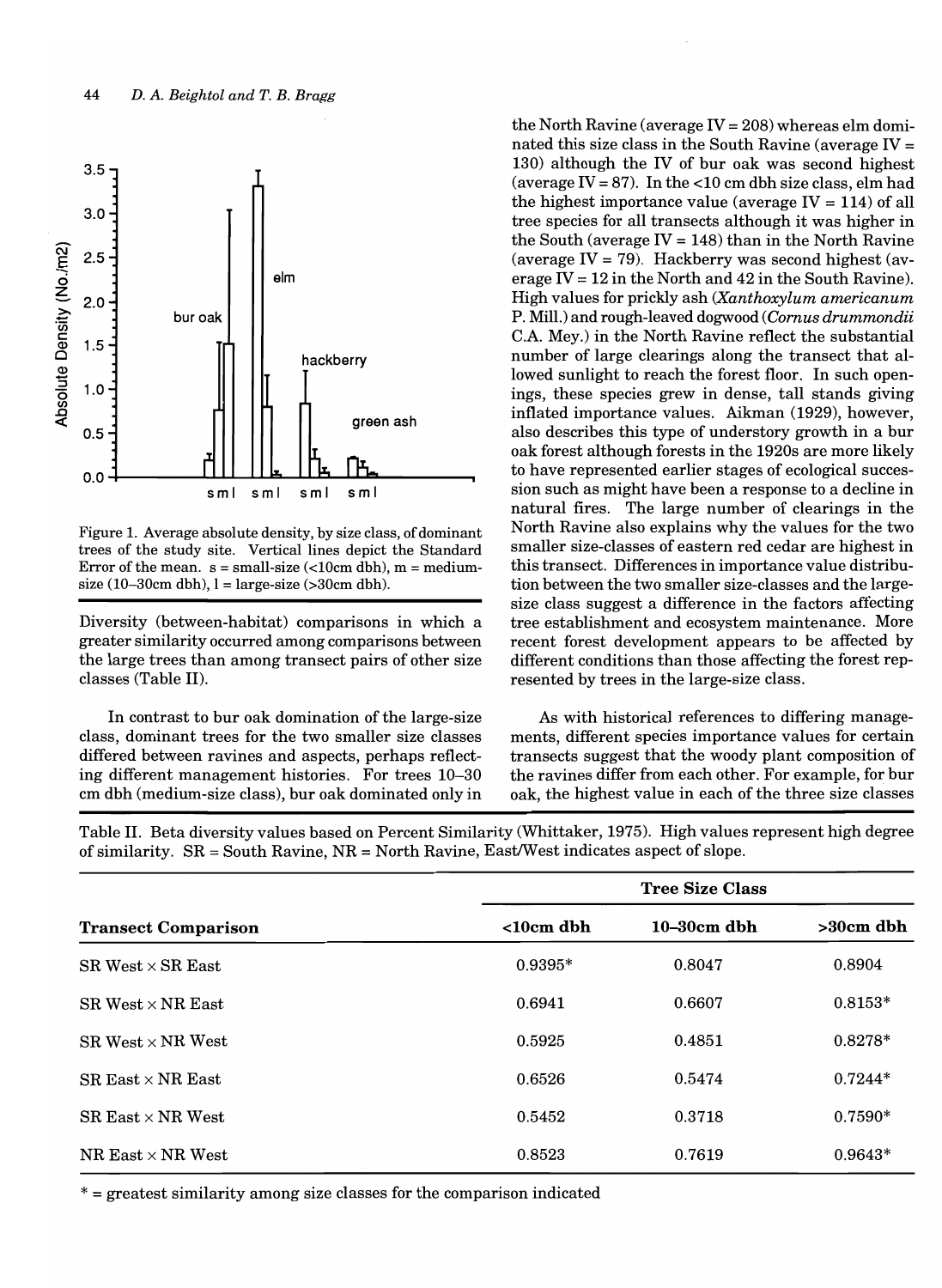

Figure 1. Average absolute density, by size class, of dominant trees of the study site. Vertical lines depict the Standard Error of the mean.  $s = \text{small-size}$  (<10cm dbh), m = mediumsize  $(10-30cm \, dbh)$ ,  $l = large-size (>30cm \, dbh)$ .

Diversity (between-habitat) comparisons in which a greater similarity occurred among comparisons between the large trees than among transect pairs of other size classes (Table II).

In contrast to bur oak domination of the large-size class, dominant trees for the two smaller size classes differed between ravines and aspects, perhaps reflecting different management histories. For trees 10-30 cm dbh (medium-size class), bur oak dominated only in

the North Ravine (average  $IV = 208$ ) whereas elm dominated this size class in the South Ravine (average  $IV =$ 130) although the IV of bur oak was second highest (average IV = 87). In the <10 cm dbh size class, elm had the highest importance value (average  $IV = 114$ ) of all tree species for all transects although it was higher in the South (average  $IV = 148$ ) than in the North Ravine (average IV = 79). Hackberry was second highest (average  $IV = 12$  in the North and 42 in the South Ravine). High values for prickly ash *(Xanthoxylum americanum*  P. Mill.) and rough-leaved dogwood *(Comus drummondii*  C.A. Mey.) in the North Ravine reflect the substantial number of large clearings along the transect that allowed sunlight to reach the forest floor. In such openings, these species grew in dense, tall stands giving inflated importance values. Aikman (1929), however, also describes this type of understory growth in a bur oak forest although forests in the 1920s are more likely to have represented earlier stages of ecological succession such as might have been a response to a decline in natural fires. The large number of clearings in the North Ravine also explains why the values for the two smaller size-classes of eastern red cedar are highest in this transect. Differences in importance value distribution between the two smaller size-classes and the largesize class suggest a difference in the factors affecting tree establishment and ecosystem maintenance. More recent forest development appears to be affected by different conditions than those affecting the forest represented by trees in the large-size class.

As with historical references to differing managements, different species importance values for certain transects suggest that the woody plant composition of the ravines differ from each other. For example, for bur oak, the highest value in each of the three size classes

Table II. Beta diversity values based on Percent Similarity (Whittaker, 1975). High values represent high degree of similarity.  $SR = South Rayine$ ,  $NR = North Rayine$ ,  $EastWest$  indicates aspect of slope.

|                            | <b>Tree Size Class</b> |                  |             |  |  |
|----------------------------|------------------------|------------------|-------------|--|--|
| <b>Transect Comparison</b> | $< 10cm$ dbh           | $10 - 30$ cm dbh | $>30cm$ dbh |  |  |
| $SR West \times SR East$   | $0.9395*$              | 0.8047           | 0.8904      |  |  |
| $SR West \times NR East$   | 0.6941                 | 0.6607           | $0.8153*$   |  |  |
| $SR$ West $\times$ NR West | 0.5925                 | 0.4851           | $0.8278*$   |  |  |
| $SR$ East $\times$ NR East | 0.6526                 | 0.5474           | $0.7244*$   |  |  |
| $SR$ East $\times$ NR West | 0.5452                 | 0.3718           | $0.7590*$   |  |  |
| NR East $\times$ NR West   | 0.8523                 | 0.7619           | $0.9643*$   |  |  |

\* = greatest similarity among size classes for the comparison indicated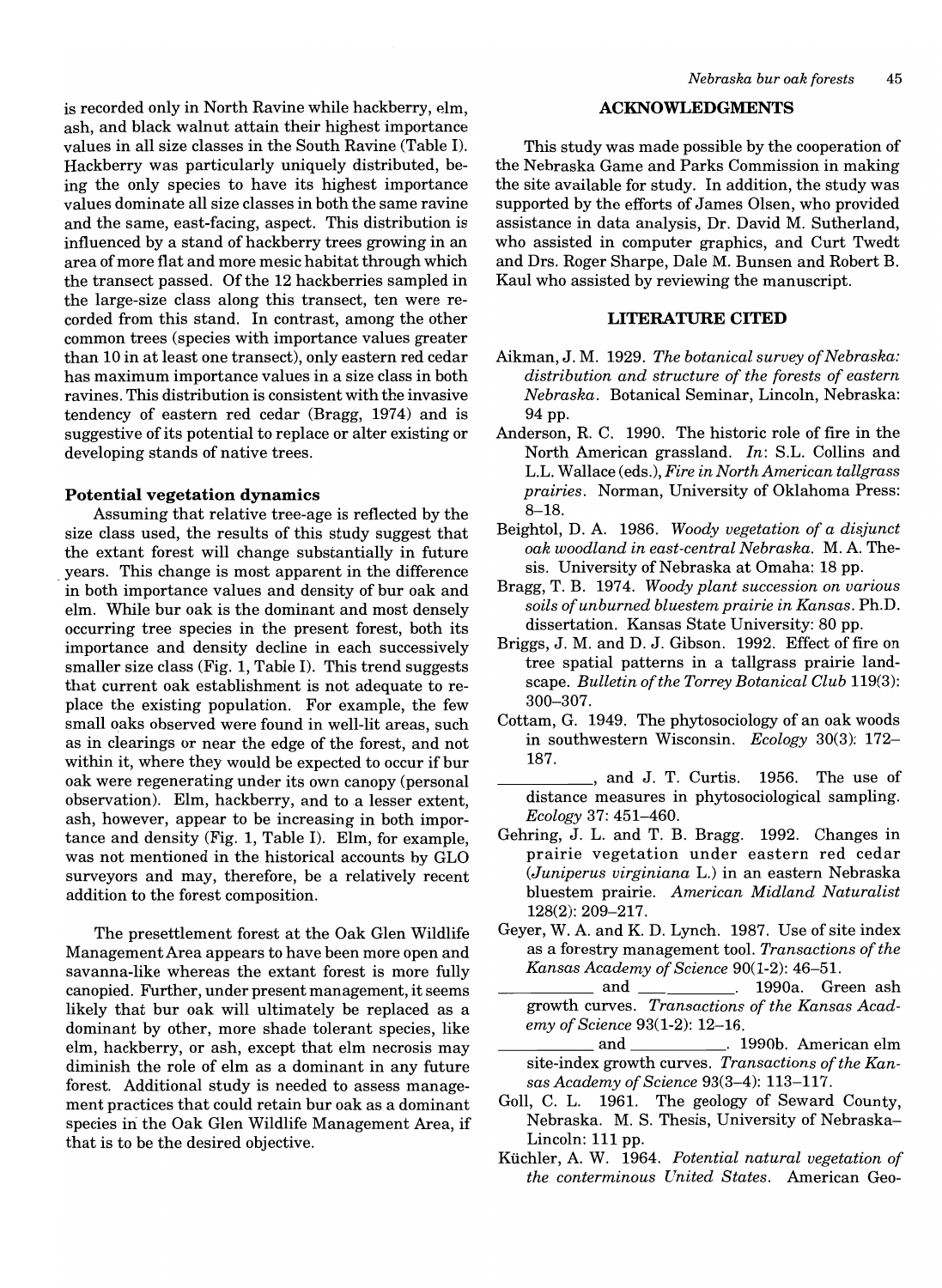is recorded only in North Ravine while hackberry, elm, ash, and black walnut attain their highest importance values in all size classes in the South Ravine (Table I). Hackberry was particularly uniquely distributed, being the only species to have its highest importance values dominate all size classes in both the same ravine and the same, east-facing, aspect. This distribution is influenced by a stand of hackberry trees growing in an area of more flat and more mesic habitat through which the transect passed. Of the 12 hackberries sampled in the large-size class along this transect, ten were recorded from this stand. In contrast, among the other common trees (species with importance values greater than 10 in at least one transect), only eastern red cedar has maximum importance values in a size class in both ravines. This distribution is consistent with the invasive tendency of eastern red cedar (Bragg, 1974) and is suggestive of its potential to replace or alter existing or developing stands of native trees.

## Potential vegetation dynamics

Assuming that relative tree-age is reflected by the size class used, the results of this study suggest that the extant forest will change substantially in future . years. This change is most apparent in the difference in both importance values and density of bur oak and elm. While bur oak is the dominant and most densely occurring tree species in the present forest, both its importance and density decline in each successively smaller size class (Fig. 1, Table I). This trend suggests that current oak establishment is not adequate to replace the existing population. For example, the few small oaks observed were found in well-lit areas, such as in clearings or near the edge of the forest, and not within it, where they would be expected to occur if bur oak were regenerating under its own canopy (personal observation). Elm, hackberry, and to a lesser extent, ash, however, appear to be increasing in both importance and density (Fig. 1, Table I). Elm, for example, was not mentioned in the historical accounts by GLO surveyors and may, therefore, be a relatively recent addition to the forest composition.

The presettlement forest at the Oak Glen Wildlife Management Area appears to have been more open and savanna-like whereas the extant forest is more fully canopied. Further, under present management, it seems likely that bur oak will ultimately be replaced as a dominant by other, more shade tolerant species, like elm, hackberry, or ash, except that elm necrosis may diminish the role of elm as a dominant in any future forest. Additional study is needed to assess management practices that could retain bur oak as a dominant species in the Oak Glen Wildlife Management Area, if that is to be the desired objective.

#### ACKNOWLEDGMENTS

This study was made possible by the cooperation of the Nebraska Game and Parks Commission in making the site available for study. In addition, the study was supported by the efforts of James Olsen, who provided assistance in data analysis, Dr. David M. Sutherland, who assisted in computer graphics, and Curt Twedt and Drs. Roger Sharpe, Dale M. Bunsen and Robert B. Kaul who assisted by reviewing the manuscript.

## LITERATURE CITED

- Aikman, J. M. 1929. *The botanical survey of Nebraska: distribution and structure of the forests of eastern Nebraska.* Botanical Seminar, Lincoln, Nebraska: 94pp.
- Anderson, R. C. 1990. The historic role of fire in the North American grassland. *In:* S.L. Collins and L.L. Wallace (eds.), *Fire in North American tall grass prairies.* Norman, University of Oklahoma Press: 8-18.
- Beightol, D. A. 1986. *Woody vegetation of a disjunct oak woodland in east-central Nebraska.* M. A. Thesis. University of Nebraska at Omaha: 18 pp.
- Bragg, T. B. 1974. *Woody plant succession on various soils of unburned bluestem prairie in Kansas.* Ph.D. dissertation. Kansas State University: 80 pp.
- Briggs, J. M. and D. J. Gibson. 1992. Effect of fire on tree spatial patterns in a tallgrass prairie landscape. *Bulletin of the Torrey Botanical Club* 119(3): 300-307.
- Cottam, G. 1949. The phytosociology of an oak woods in southwestern Wisconsin. *Ecology* 30(3): 172- 187.
- \_\_\_\_\_ , and J. T. Curtis. 1956. The use of distance measures in phytosociological sampling. *Ecology* 37: 451-460.
- Gehring, J. L. and T. B. Bragg. 1992. Changes in prairie vegetation under eastern red cedar *(Juniperus virginiana* L.) in an eastern Nebraska bluestem prairie. *American Midland Naturalist*  128(2): 209-217.
- Geyer, W. A. and K. D. Lynch. 1987. Use of site index as a forestry management tool. *Transactions of the Kansas Academy of Science* 90(1-2): 46-51. \_\_\_\_\_ and 1990a. Green ash
	- and 1990a. Green ash growth curves. *Transactions of the Kansas Academy of Science* 93(1-2): 12-16.
- \_\_\_\_\_ and . 1990b. American elm site-index growth curves. *Transactions of the Kansas Academy of Science* 93(3-4): 113-117.
- Goll, C. L. 1961. The geology of Seward County, Nebraska. M. S. Thesis, University of Nebraska-Lincoln: 111 pp.
- Kiichler, A. W. 1964. *Potential natural vegetation of the conterminous United States.* American Geo-